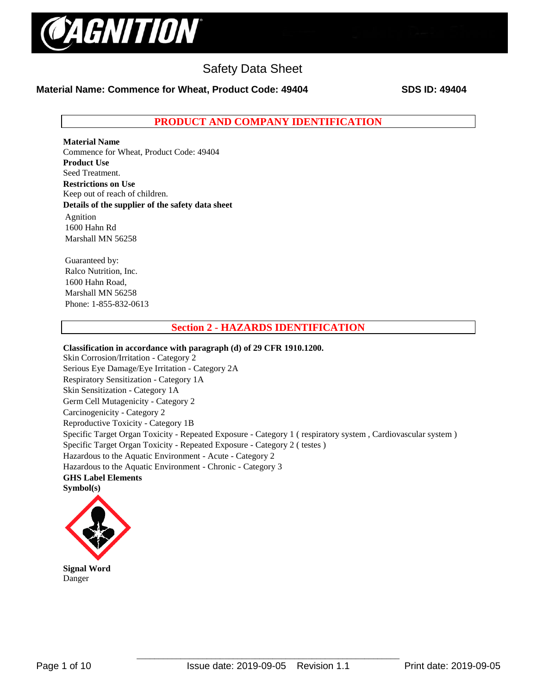

## **Material Name: Commence for Wheat, Product Code: 49404 SDS ID: 49404**

**PRODUCT AND COMPANY IDENTIFICATION**

**Material Name**  Commence for Wheat, Product Code: 49404 **Product Use** Seed Treatment. **Restrictions on Use** Keep out of reach of children. **Details of the supplier of the safety data sheet** Agnition 1600 Hahn Rd Marshall MN 56258

Guaranteed by: Ralco Nutrition, Inc. 1600 Hahn Road, Marshall MN 56258 Phone: 1-855-832-0613

## **Section 2 - HAZARDS IDENTIFICATION**

**Classification in accordance with paragraph (d) of 29 CFR 1910.1200.**  Skin Corrosion/Irritation - Category 2 Serious Eye Damage/Eye Irritation - Category 2A Respiratory Sensitization - Category 1A Skin Sensitization - Category 1A Germ Cell Mutagenicity - Category 2 Carcinogenicity - Category 2 Reproductive Toxicity - Category 1B Specific Target Organ Toxicity - Repeated Exposure - Category 1 ( respiratory system , Cardiovascular system ) Specific Target Organ Toxicity - Repeated Exposure - Category 2 ( testes ) Hazardous to the Aquatic Environment - Acute - Category 2 Hazardous to the Aquatic Environment - Chronic - Category 3 **GHS Label Elements Symbol(s)** 



**Signal Word**  Danger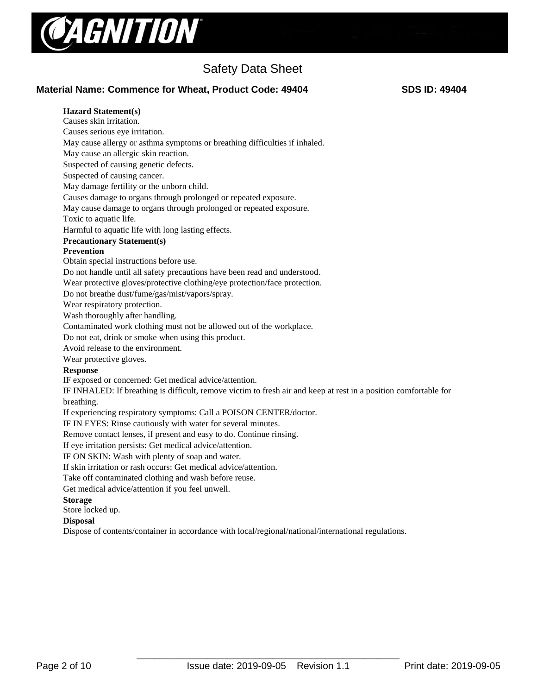

## **Material Name: Commence for Wheat, Product Code: 49404 SDS ID: 49404**

#### **Hazard Statement(s)**  Causes skin irritation.

Causes serious eye irritation. May cause allergy or asthma symptoms or breathing difficulties if inhaled. May cause an allergic skin reaction. Suspected of causing genetic defects. Suspected of causing cancer. May damage fertility or the unborn child. Causes damage to organs through prolonged or repeated exposure. May cause damage to organs through prolonged or repeated exposure.

Toxic to aquatic life.

Harmful to aquatic life with long lasting effects.

**Precautionary Statement(s)** 

### **Prevention**

Obtain special instructions before use.

Do not handle until all safety precautions have been read and understood.

Wear protective gloves/protective clothing/eye protection/face protection.

Do not breathe dust/fume/gas/mist/vapors/spray.

Wear respiratory protection.

Wash thoroughly after handling.

Contaminated work clothing must not be allowed out of the workplace.

Do not eat, drink or smoke when using this product.

Avoid release to the environment.

Wear protective gloves.

#### **Response**

IF exposed or concerned: Get medical advice/attention.

IF INHALED: If breathing is difficult, remove victim to fresh air and keep at rest in a position comfortable for breathing.

If experiencing respiratory symptoms: Call a POISON CENTER/doctor.

IF IN EYES: Rinse cautiously with water for several minutes.

Remove contact lenses, if present and easy to do. Continue rinsing.

If eye irritation persists: Get medical advice/attention.

IF ON SKIN: Wash with plenty of soap and water.

If skin irritation or rash occurs: Get medical advice/attention.

Take off contaminated clothing and wash before reuse.

Get medical advice/attention if you feel unwell.

#### **Storage**

Store locked up.

## **Disposal**

Dispose of contents/container in accordance with local/regional/national/international regulations.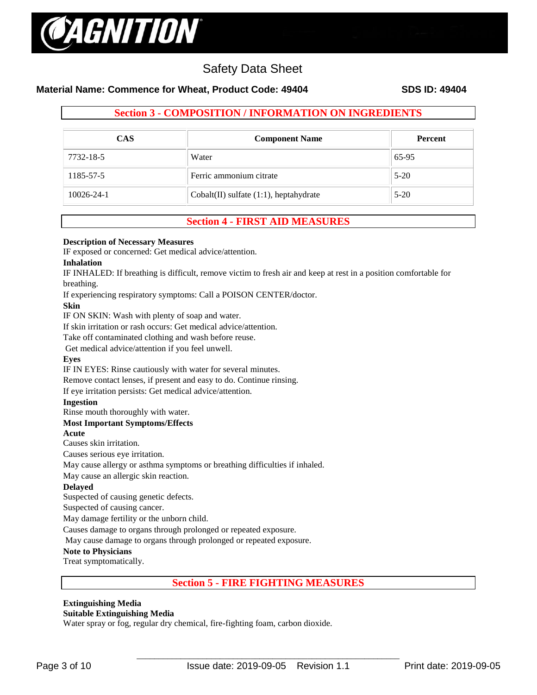

## **Material Name: Commence for Wheat, Product Code: 49404 SDS ID: 49404**

## **Section 3 - COMPOSITION / INFORMATION ON INGREDIENTS**

| <b>CAS</b>       | <b>Component Name</b>                       | <b>Percent</b> |
|------------------|---------------------------------------------|----------------|
| 7732-18-5        | Water                                       | 65-95          |
| 1185-57-5        | Ferric ammonium citrate                     | $5-20$         |
| $10026 - 24 - 1$ | $Cobalt(II)$ sulfate $(1:1)$ , heptahydrate | $5-20$         |

## **Section 4 - FIRST AID MEASURES**

#### **Description of Necessary Measures**

IF exposed or concerned: Get medical advice/attention.

#### **Inhalation**

IF INHALED: If breathing is difficult, remove victim to fresh air and keep at rest in a position comfortable for breathing.

If experiencing respiratory symptoms: Call a POISON CENTER/doctor.

## **Skin**

IF ON SKIN: Wash with plenty of soap and water.

If skin irritation or rash occurs: Get medical advice/attention.

Take off contaminated clothing and wash before reuse.

Get medical advice/attention if you feel unwell.

## **Eyes**

IF IN EYES: Rinse cautiously with water for several minutes.

Remove contact lenses, if present and easy to do. Continue rinsing.

If eye irritation persists: Get medical advice/attention.

## **Ingestion**

Rinse mouth thoroughly with water.

## **Most Important Symptoms/Effects**

#### **Acute**

Causes skin irritation.

Causes serious eye irritation.

May cause allergy or asthma symptoms or breathing difficulties if inhaled.

May cause an allergic skin reaction.

## **Delayed**

Suspected of causing genetic defects.

Suspected of causing cancer.

May damage fertility or the unborn child.

Causes damage to organs through prolonged or repeated exposure.

May cause damage to organs through prolonged or repeated exposure.

## **Note to Physicians**

Treat symptomatically.

## **Section 5 - FIRE FIGHTING MEASURES**

# **Extinguishing Media**

## **Suitable Extinguishing Media**

Water spray or fog, regular dry chemical, fire-fighting foam, carbon dioxide.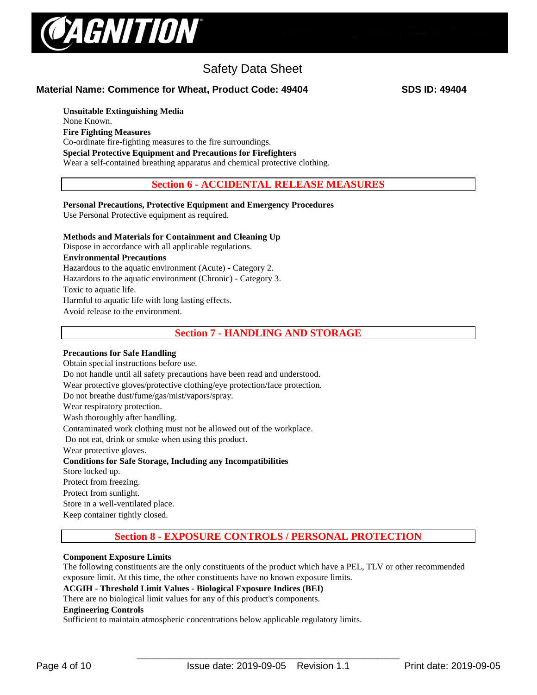

**Material Name: Commence for Wheat, Product Code: 49404 SDS ID: 49404**

**Unsuitable Extinguishing Media** None Known. **Fire Fighting Measures** Co-ordinate fire-fighting measures to the fire surroundings. **Special Protective Equipment and Precautions for Firefighters**  Wear a self-contained breathing apparatus and chemical protective clothing.

**Section 6 - ACCIDENTAL RELEASE MEASURES**

**Personal Precautions, Protective Equipment and Emergency Procedures**  Use Personal Protective equipment as required.

## **Methods and Materials for Containment and Cleaning Up**

Dispose in accordance with all applicable regulations.

**Environmental Precautions**

Hazardous to the aquatic environment (Acute) - Category 2.

Hazardous to the aquatic environment (Chronic) - Category 3.

Toxic to aquatic life.

Harmful to aquatic life with long lasting effects.

Avoid release to the environment.

**Section 7 - HANDLING AND STORAGE**

## **Precautions for Safe Handling**

Obtain special instructions before use. Do not handle until all safety precautions have been read and understood. Wear protective gloves/protective clothing/eye protection/face protection. Do not breathe dust/fume/gas/mist/vapors/spray. Wear respiratory protection. Wash thoroughly after handling. Contaminated work clothing must not be allowed out of the workplace. Do not eat, drink or smoke when using this product. Wear protective gloves. **Conditions for Safe Storage, Including any Incompatibilities**  Store locked up. Protect from freezing. Protect from sunlight. Store in a well-ventilated place. Keep container tightly closed.

## **Section 8 - EXPOSURE CONTROLS / PERSONAL PROTECTION**

## **Component Exposure Limits**

The following constituents are the only constituents of the product which have a PEL, TLV or other recommended exposure limit. At this time, the other constituents have no known exposure limits.

## **ACGIH - Threshold Limit Values - Biological Exposure Indices (BEI)**

There are no biological limit values for any of this product's components.

#### **Engineering Controls**

Sufficient to maintain atmospheric concentrations below applicable regulatory limits.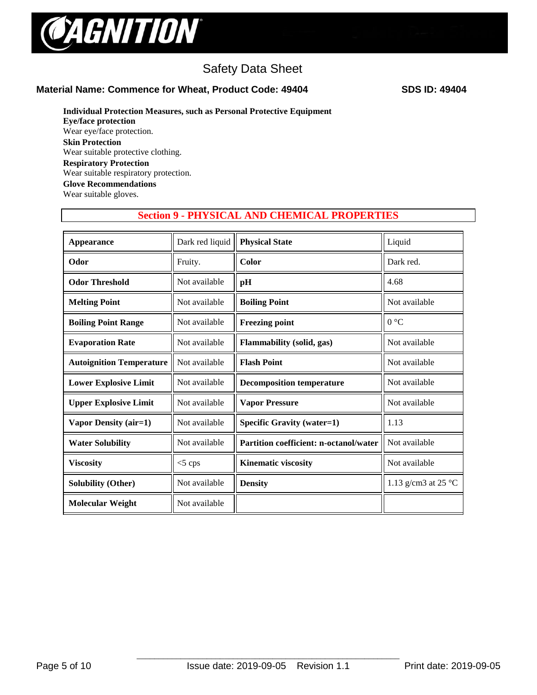

## **Material Name: Commence for Wheat, Product Code: 49404 SDS ID: 49404**

## **Individual Protection Measures, such as Personal Protective Equipment**

**Eye/face protection**  Wear eye/face protection. **Skin Protection**  Wear suitable protective clothing. **Respiratory Protection** Wear suitable respiratory protection. **Glove Recommendations** Wear suitable gloves.

## **Section 9 - PHYSICAL AND CHEMICAL PROPERTIES**

| <b>Appearance</b>               | Dark red liquid | <b>Physical State</b>                         | Liquid                        |
|---------------------------------|-----------------|-----------------------------------------------|-------------------------------|
| Odor                            | Fruity.         | Color                                         | Dark red.                     |
| <b>Odor Threshold</b>           | Not available   | pH                                            | 4.68                          |
| <b>Melting Point</b>            | Not available   | <b>Boiling Point</b>                          | Not available                 |
| <b>Boiling Point Range</b>      | Not available   | <b>Freezing point</b>                         | 0 °C                          |
| <b>Evaporation Rate</b>         | Not available   | <b>Flammability (solid, gas)</b>              | Not available                 |
| <b>Autoignition Temperature</b> | Not available   | <b>Flash Point</b>                            | Not available                 |
| <b>Lower Explosive Limit</b>    | Not available   | <b>Decomposition temperature</b>              | Not available                 |
| <b>Upper Explosive Limit</b>    | Not available   | <b>Vapor Pressure</b>                         | Not available                 |
| Vapor Density (air=1)           | Not available   | <b>Specific Gravity (water=1)</b>             | 1.13                          |
| <b>Water Solubility</b>         | Not available   | <b>Partition coefficient: n-octanol/water</b> | Not available                 |
| <b>Viscosity</b>                | $<$ 5 cps       | <b>Kinematic viscosity</b>                    | Not available                 |
| <b>Solubility (Other)</b>       | Not available   | <b>Density</b>                                | 1.13 g/cm3 at 25 $^{\circ}$ C |
| <b>Molecular Weight</b>         | Not available   |                                               |                               |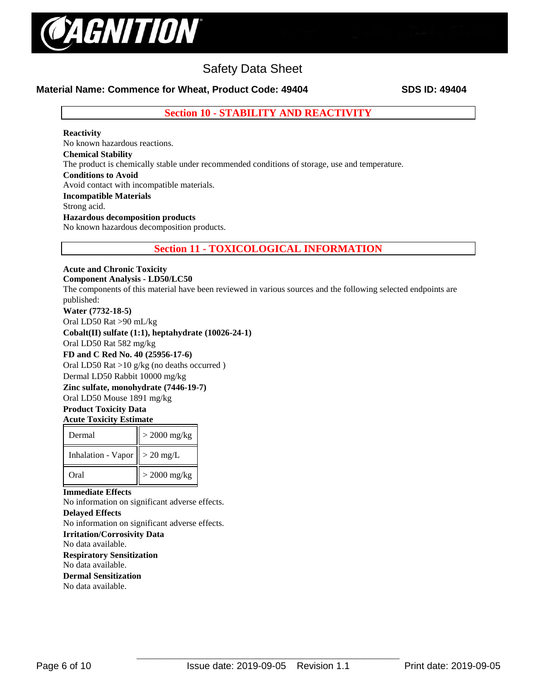

## **Material Name: Commence for Wheat, Product Code: 49404 SDS ID: 49404**

**Section 10 - STABILITY AND REACTIVITY**

### **Reactivity**

No known hazardous reactions. **Chemical Stability** The product is chemically stable under recommended conditions of storage, use and temperature. **Conditions to Avoid** Avoid contact with incompatible materials. **Incompatible Materials** Strong acid. **Hazardous decomposition products**  No known hazardous decomposition products.

**Section 11 - TOXICOLOGICAL INFORMATION**

## **Acute and Chronic Toxicity**

**Component Analysis - LD50/LC50** 

The components of this material have been reviewed in various sources and the following selected endpoints are published:

## **Water (7732-18-5)**

Oral LD50 Rat >90 mL/kg

**Cobalt(II) sulfate (1:1), heptahydrate (10026-24-1)**

Oral LD50 Rat 582 mg/kg

#### **FD and C Red No. 40 (25956-17-6)**

Oral LD50 Rat >10 g/kg (no deaths occurred )

Dermal LD50 Rabbit 10000 mg/kg

## **Zinc sulfate, monohydrate (7446-19-7)**

Oral LD50 Mouse 1891 mg/kg

#### **Product Toxicity Data Acute Toxicity Estimate**

| Dermal                                   | $>$ 2000 mg/kg |
|------------------------------------------|----------------|
| Inhalation - Vapor $\parallel$ > 20 mg/L |                |
| Oral                                     | $>$ 2000 mg/kg |

## **Immediate Effects**

No information on significant adverse effects.

## **Delayed Effects**

No information on significant adverse effects.

**Irritation/Corrosivity Data** 

No data available.

#### **Respiratory Sensitization**  No data available.

**Dermal Sensitization**  No data available.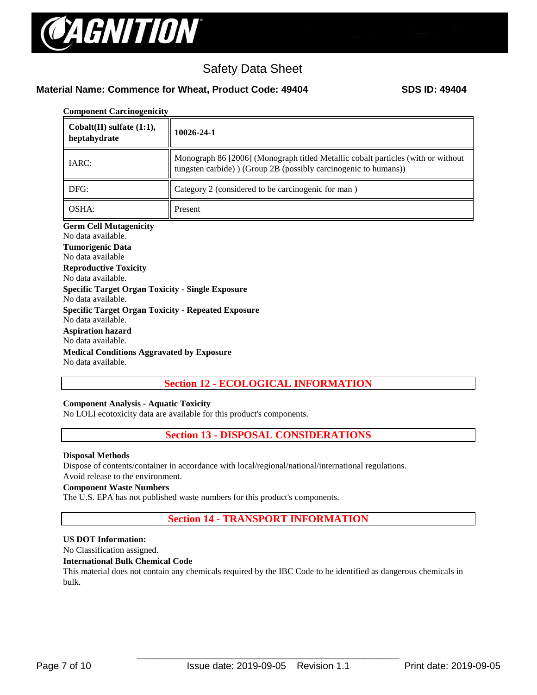

## **Material Name: Commence for Wheat, Product Code: 49404 SDS ID: 49404**

| <b>Component Carcinogenicity</b> |  |
|----------------------------------|--|
|----------------------------------|--|

| $\text{Cobalt}(\text{II})$ sulfate $(1:1)$ ,<br>heptahydrate                                                                                                                                                                                                                                                                                                                                                             | 10026-24-1                                                                                                                                         |
|--------------------------------------------------------------------------------------------------------------------------------------------------------------------------------------------------------------------------------------------------------------------------------------------------------------------------------------------------------------------------------------------------------------------------|----------------------------------------------------------------------------------------------------------------------------------------------------|
| IARC:                                                                                                                                                                                                                                                                                                                                                                                                                    | Monograph 86 [2006] (Monograph titled Metallic cobalt particles (with or without<br>tungsten carbide) (Group 2B (possibly carcinogenic to humans)) |
| DFG:                                                                                                                                                                                                                                                                                                                                                                                                                     | Category 2 (considered to be carcinogenic for man)                                                                                                 |
| OSHA:                                                                                                                                                                                                                                                                                                                                                                                                                    | Present                                                                                                                                            |
| No data available.<br><b>Tumorigenic Data</b><br>No data available<br><b>Reproductive Toxicity</b><br>No data available.<br><b>Specific Target Organ Toxicity - Single Exposure</b><br>No data available.<br><b>Specific Target Organ Toxicity - Repeated Exposure</b><br>No data available.<br><b>Aspiration hazard</b><br>No data available.<br><b>Medical Conditions Aggravated by Exposure</b><br>No data available. |                                                                                                                                                    |

## **Section 12 - ECOLOGICAL INFORMATION**

## **Component Analysis - Aquatic Toxicity**

No LOLI ecotoxicity data are available for this product's components.

## **Section 13 - DISPOSAL CONSIDERATIONS**

#### **Disposal Methods**

Dispose of contents/container in accordance with local/regional/national/international regulations.

## Avoid release to the environment.

## **Component Waste Numbers**

The U.S. EPA has not published waste numbers for this product's components.

## **Section 14 - TRANSPORT INFORMATION**

## **US DOT Information:**

No Classification assigned.

#### **International Bulk Chemical Code**

This material does not contain any chemicals required by the IBC Code to be identified as dangerous chemicals in bulk.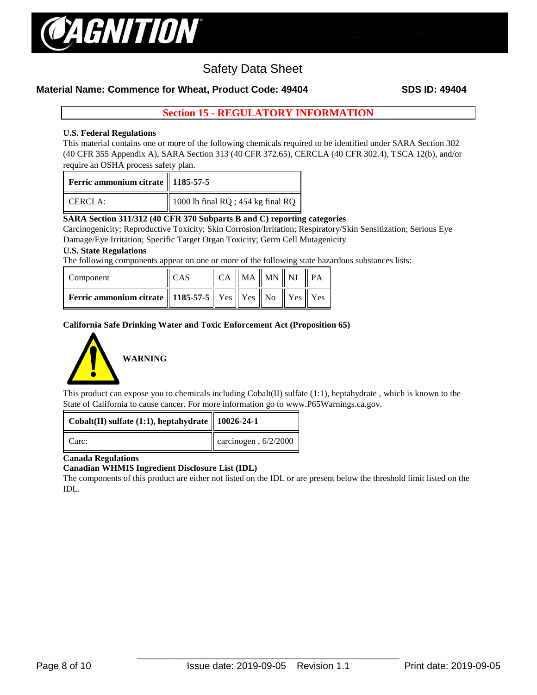

## **Material Name: Commence for Wheat, Product Code: 49404 SDS ID: 49404**

## **Section 15 - REGULATORY INFORMATION**

## **U.S. Federal Regulations**

This material contains one or more of the following chemicals required to be identified under SARA Section 302 (40 CFR 355 Appendix A), SARA Section 313 (40 CFR 372.65), CERCLA (40 CFR 302.4), TSCA 12(b), and/or require an OSHA process safety plan.

| Ferric ammonium citrate    1185-57-5 |                                        |
|--------------------------------------|----------------------------------------|
| CERCIA:                              | 1000 lb final $RQ$ ; 454 kg final $RQ$ |

## **SARA Section 311/312 (40 CFR 370 Subparts B and C) reporting categories**

Carcinogenicity; Reproductive Toxicity; Skin Corrosion/Irritation; Respiratory/Skin Sensitization; Serious Eye Damage/Eye Irritation; Specific Target Organ Toxicity; Germ Cell Mutagenicity

### **U.S. State Regulations**

The following components appear on one or more of the following state hazardous substances lists:

| Component                                                                     | <b>CAS</b> |  | $\ $ CA $\ $ MA $\ $ MN $\ $ NJ $\ $ PA |  |
|-------------------------------------------------------------------------------|------------|--|-----------------------------------------|--|
| <b>Ferric ammonium citrate</b>    1185-57-5    Yes    Yes    No    Yes    Yes |            |  |                                         |  |

### **California Safe Drinking Water and Toxic Enforcement Act (Proposition 65)**



This product can expose you to chemicals including  $Cobalt(\Pi)$  sulfate (1:1), heptahydrate, which is known to the State of California to cause cancer. For more information go to www.P65Warnings.ca.gov.

| Cobalt(II) sulfate (1:1), heptahydrate    10026-24-1 |                               |
|------------------------------------------------------|-------------------------------|
| Carc:                                                | $\alpha$ carcinogen, 6/2/2000 |

#### **Canada Regulations**

#### **Canadian WHMIS Ingredient Disclosure List (IDL)**

The components of this product are either not listed on the IDL or are present below the threshold limit listed on the IDL.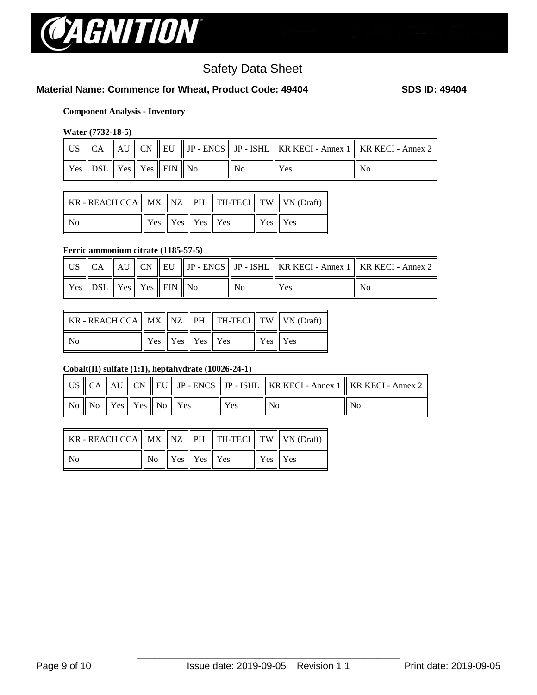

## **Material Name: Commence for Wheat, Product Code: 49404 SDS ID: 49404**

## **Component Analysis - Inventory**

### **Water (7732-18-5)**

|                                               |  |  |    | US $\parallel$ CA $\parallel$ AU $\parallel$ CN $\parallel$ EU $\parallel$ JP - ENCS $\parallel$ JP - ISHL $\parallel$ KR KECI - Annex 1 $\parallel$ KR KECI - Annex 2 |    |
|-----------------------------------------------|--|--|----|------------------------------------------------------------------------------------------------------------------------------------------------------------------------|----|
| $\gamma$ es    DSL    Yes    Yes    EIN    No |  |  | Nο | <b>Yes</b>                                                                                                                                                             | No |

| KR - REACH CCA $\parallel$ MX $\parallel$ NZ $\parallel$ PH $\parallel$ TH-TECI $\parallel$ TW $\parallel$ VN (Draft) |                                                                 |  |         |  |
|-----------------------------------------------------------------------------------------------------------------------|-----------------------------------------------------------------|--|---------|--|
| No.                                                                                                                   | $\parallel$ Yes $\parallel$ Yes $\parallel$ Yes $\parallel$ Yes |  | Yes Yes |  |

## **Ferric ammonium citrate (1185-57-5)**

|                                                                                                |  |  |       |     | US $\parallel$ CA $\parallel$ AU $\parallel$ CN $\parallel$ EU $\parallel$ JP - ENCS $\parallel$ JP - ISHL $\parallel$ KR KECI - Annex 1 $\parallel$ KR KECI - Annex 2 $\parallel$ |
|------------------------------------------------------------------------------------------------|--|--|-------|-----|------------------------------------------------------------------------------------------------------------------------------------------------------------------------------------|
| $\parallel$ Yes $\parallel$ DSL $\parallel$ Yes $\parallel$ Yes $\parallel$ EIN $\parallel$ No |  |  | $N_0$ | Yes | No                                                                                                                                                                                 |

| KR - REACH CCA $\ $ MX $\ $ NZ $\ $ PH $\ $ TH-TECI $\ $ TW $\ $ VN (Draft) |                                     |  |         |  |
|-----------------------------------------------------------------------------|-------------------------------------|--|---------|--|
| N <sub>0</sub>                                                              | $\ $ Yes $\ $ Yes $\ $ Yes $\ $ Yes |  | Yes Yes |  |

## **Cobalt(II) sulfate (1:1), heptahydrate (10026-24-1)**

|  |                                                                |  |     |                | $\parallel$ US $\parallel$ CA $\parallel$ AU $\parallel$ CN $\parallel$ EU $\parallel$ JP - ENCS $\parallel$ JP - ISHL $\parallel$ KR KECI - Annex 1 $\parallel$ KR KECI - Annex 2 $\parallel$ |
|--|----------------------------------------------------------------|--|-----|----------------|------------------------------------------------------------------------------------------------------------------------------------------------------------------------------------------------|
|  | $\mid$ No $\mid$ No $\mid$ Yes $\mid$ Yes $\mid$ No $\mid$ Yes |  | Yes | N <sub>0</sub> | N <sub>0</sub>                                                                                                                                                                                 |

| KR - REACH CCA $\parallel$ MX $\parallel$ NZ $\parallel$ PH $\parallel$ TH-TECI $\parallel$ TW $\parallel$ VN (Draft) |  |  |         |  |
|-----------------------------------------------------------------------------------------------------------------------|--|--|---------|--|
| $\rm No$                                                                                                              |  |  | Yes Yes |  |